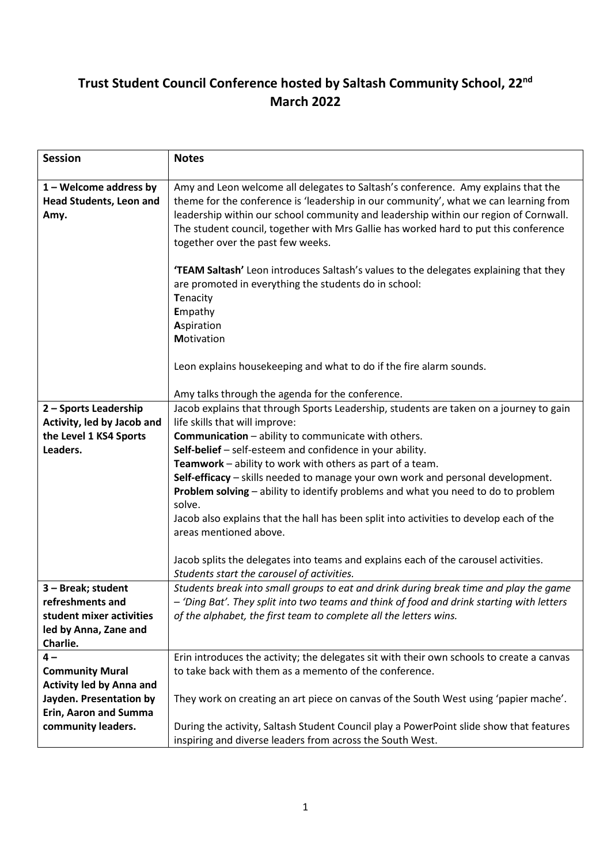## **Trust Student Council Conference hosted by Saltash Community School, 22nd March 2022**

| <b>Session</b>                                                     | <b>Notes</b>                                                                                                                                                                                                                                                                                                                                                                                   |
|--------------------------------------------------------------------|------------------------------------------------------------------------------------------------------------------------------------------------------------------------------------------------------------------------------------------------------------------------------------------------------------------------------------------------------------------------------------------------|
| $1 -$ Welcome address by<br><b>Head Students, Leon and</b><br>Amy. | Amy and Leon welcome all delegates to Saltash's conference. Amy explains that the<br>theme for the conference is 'leadership in our community', what we can learning from<br>leadership within our school community and leadership within our region of Cornwall.<br>The student council, together with Mrs Gallie has worked hard to put this conference<br>together over the past few weeks. |
|                                                                    | 'TEAM Saltash' Leon introduces Saltash's values to the delegates explaining that they<br>are promoted in everything the students do in school:<br>Tenacity<br>Empathy<br>Aspiration<br>Motivation                                                                                                                                                                                              |
|                                                                    | Leon explains housekeeping and what to do if the fire alarm sounds.                                                                                                                                                                                                                                                                                                                            |
|                                                                    | Amy talks through the agenda for the conference.                                                                                                                                                                                                                                                                                                                                               |
| 2 - Sports Leadership                                              | Jacob explains that through Sports Leadership, students are taken on a journey to gain                                                                                                                                                                                                                                                                                                         |
| Activity, led by Jacob and                                         | life skills that will improve:                                                                                                                                                                                                                                                                                                                                                                 |
| the Level 1 KS4 Sports                                             | <b>Communication</b> - ability to communicate with others.                                                                                                                                                                                                                                                                                                                                     |
| Leaders.                                                           | Self-belief - self-esteem and confidence in your ability.                                                                                                                                                                                                                                                                                                                                      |
|                                                                    | Teamwork - ability to work with others as part of a team.                                                                                                                                                                                                                                                                                                                                      |
|                                                                    | Self-efficacy - skills needed to manage your own work and personal development.<br>Problem solving - ability to identify problems and what you need to do to problem                                                                                                                                                                                                                           |
|                                                                    | solve.                                                                                                                                                                                                                                                                                                                                                                                         |
|                                                                    | Jacob also explains that the hall has been split into activities to develop each of the                                                                                                                                                                                                                                                                                                        |
|                                                                    | areas mentioned above.                                                                                                                                                                                                                                                                                                                                                                         |
|                                                                    |                                                                                                                                                                                                                                                                                                                                                                                                |
|                                                                    | Jacob splits the delegates into teams and explains each of the carousel activities.                                                                                                                                                                                                                                                                                                            |
|                                                                    | Students start the carousel of activities.                                                                                                                                                                                                                                                                                                                                                     |
| 3 - Break; student                                                 | Students break into small groups to eat and drink during break time and play the game                                                                                                                                                                                                                                                                                                          |
| refreshments and                                                   | - 'Ding Bat'. They split into two teams and think of food and drink starting with letters                                                                                                                                                                                                                                                                                                      |
| student mixer activities                                           | of the alphabet, the first team to complete all the letters wins.                                                                                                                                                                                                                                                                                                                              |
| led by Anna, Zane and                                              |                                                                                                                                                                                                                                                                                                                                                                                                |
| Charlie.                                                           |                                                                                                                                                                                                                                                                                                                                                                                                |
| 4 –                                                                | Erin introduces the activity; the delegates sit with their own schools to create a canvas                                                                                                                                                                                                                                                                                                      |
| <b>Community Mural</b><br><b>Activity led by Anna and</b>          | to take back with them as a memento of the conference.                                                                                                                                                                                                                                                                                                                                         |
| Jayden. Presentation by                                            | They work on creating an art piece on canvas of the South West using 'papier mache'.                                                                                                                                                                                                                                                                                                           |
| Erin, Aaron and Summa                                              |                                                                                                                                                                                                                                                                                                                                                                                                |
| community leaders.                                                 | During the activity, Saltash Student Council play a PowerPoint slide show that features                                                                                                                                                                                                                                                                                                        |
|                                                                    | inspiring and diverse leaders from across the South West.                                                                                                                                                                                                                                                                                                                                      |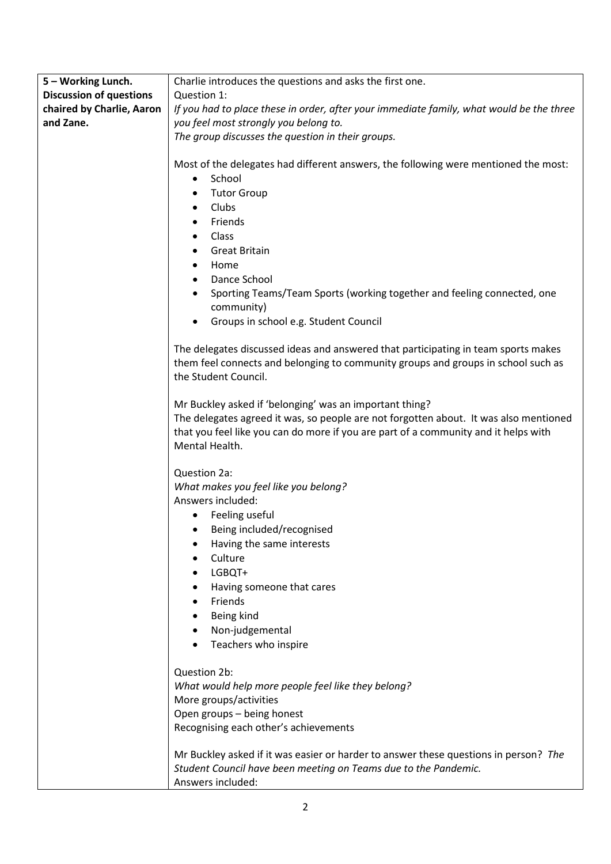| <b>Discussion of questions</b><br>Question 1:<br>chaired by Charlie, Aaron<br>If you had to place these in order, after your immediate family, what would be the three<br>and Zane.<br>you feel most strongly you belong to.<br>The group discusses the question in their groups.<br>Most of the delegates had different answers, the following were mentioned the most:<br>School<br>$\bullet$<br><b>Tutor Group</b><br>$\bullet$<br>Clubs<br>$\bullet$<br>Friends<br>Class<br>$\bullet$<br><b>Great Britain</b><br>Home<br>Dance School<br>$\bullet$<br>Sporting Teams/Team Sports (working together and feeling connected, one<br>community)<br>Groups in school e.g. Student Council<br>The delegates discussed ideas and answered that participating in team sports makes<br>them feel connects and belonging to community groups and groups in school such as<br>the Student Council.<br>Mr Buckley asked if 'belonging' was an important thing?<br>The delegates agreed it was, so people are not forgotten about. It was also mentioned<br>that you feel like you can do more if you are part of a community and it helps with<br>Mental Health.<br>Question 2a:<br>What makes you feel like you belong?<br>Answers included:<br>Feeling useful<br>Being included/recognised<br>Having the same interests<br>Culture<br>LGBQT+<br>Having someone that cares<br>Friends<br>Being kind<br>Non-judgemental<br>Teachers who inspire<br>Question 2b:<br>What would help more people feel like they belong?<br>More groups/activities<br>Open groups - being honest<br>Recognising each other's achievements<br>Mr Buckley asked if it was easier or harder to answer these questions in person? The<br>Student Council have been meeting on Teams due to the Pandemic. | 5 - Working Lunch. | Charlie introduces the questions and asks the first one. |
|---------------------------------------------------------------------------------------------------------------------------------------------------------------------------------------------------------------------------------------------------------------------------------------------------------------------------------------------------------------------------------------------------------------------------------------------------------------------------------------------------------------------------------------------------------------------------------------------------------------------------------------------------------------------------------------------------------------------------------------------------------------------------------------------------------------------------------------------------------------------------------------------------------------------------------------------------------------------------------------------------------------------------------------------------------------------------------------------------------------------------------------------------------------------------------------------------------------------------------------------------------------------------------------------------------------------------------------------------------------------------------------------------------------------------------------------------------------------------------------------------------------------------------------------------------------------------------------------------------------------------------------------------------------------------------------------------------------------------------------------------------------------------|--------------------|----------------------------------------------------------|
|                                                                                                                                                                                                                                                                                                                                                                                                                                                                                                                                                                                                                                                                                                                                                                                                                                                                                                                                                                                                                                                                                                                                                                                                                                                                                                                                                                                                                                                                                                                                                                                                                                                                                                                                                                           |                    |                                                          |
|                                                                                                                                                                                                                                                                                                                                                                                                                                                                                                                                                                                                                                                                                                                                                                                                                                                                                                                                                                                                                                                                                                                                                                                                                                                                                                                                                                                                                                                                                                                                                                                                                                                                                                                                                                           |                    |                                                          |
|                                                                                                                                                                                                                                                                                                                                                                                                                                                                                                                                                                                                                                                                                                                                                                                                                                                                                                                                                                                                                                                                                                                                                                                                                                                                                                                                                                                                                                                                                                                                                                                                                                                                                                                                                                           |                    |                                                          |
|                                                                                                                                                                                                                                                                                                                                                                                                                                                                                                                                                                                                                                                                                                                                                                                                                                                                                                                                                                                                                                                                                                                                                                                                                                                                                                                                                                                                                                                                                                                                                                                                                                                                                                                                                                           |                    |                                                          |
|                                                                                                                                                                                                                                                                                                                                                                                                                                                                                                                                                                                                                                                                                                                                                                                                                                                                                                                                                                                                                                                                                                                                                                                                                                                                                                                                                                                                                                                                                                                                                                                                                                                                                                                                                                           |                    |                                                          |
|                                                                                                                                                                                                                                                                                                                                                                                                                                                                                                                                                                                                                                                                                                                                                                                                                                                                                                                                                                                                                                                                                                                                                                                                                                                                                                                                                                                                                                                                                                                                                                                                                                                                                                                                                                           |                    |                                                          |
|                                                                                                                                                                                                                                                                                                                                                                                                                                                                                                                                                                                                                                                                                                                                                                                                                                                                                                                                                                                                                                                                                                                                                                                                                                                                                                                                                                                                                                                                                                                                                                                                                                                                                                                                                                           |                    |                                                          |
|                                                                                                                                                                                                                                                                                                                                                                                                                                                                                                                                                                                                                                                                                                                                                                                                                                                                                                                                                                                                                                                                                                                                                                                                                                                                                                                                                                                                                                                                                                                                                                                                                                                                                                                                                                           |                    |                                                          |
|                                                                                                                                                                                                                                                                                                                                                                                                                                                                                                                                                                                                                                                                                                                                                                                                                                                                                                                                                                                                                                                                                                                                                                                                                                                                                                                                                                                                                                                                                                                                                                                                                                                                                                                                                                           |                    |                                                          |
|                                                                                                                                                                                                                                                                                                                                                                                                                                                                                                                                                                                                                                                                                                                                                                                                                                                                                                                                                                                                                                                                                                                                                                                                                                                                                                                                                                                                                                                                                                                                                                                                                                                                                                                                                                           |                    |                                                          |
|                                                                                                                                                                                                                                                                                                                                                                                                                                                                                                                                                                                                                                                                                                                                                                                                                                                                                                                                                                                                                                                                                                                                                                                                                                                                                                                                                                                                                                                                                                                                                                                                                                                                                                                                                                           |                    |                                                          |
|                                                                                                                                                                                                                                                                                                                                                                                                                                                                                                                                                                                                                                                                                                                                                                                                                                                                                                                                                                                                                                                                                                                                                                                                                                                                                                                                                                                                                                                                                                                                                                                                                                                                                                                                                                           |                    |                                                          |
|                                                                                                                                                                                                                                                                                                                                                                                                                                                                                                                                                                                                                                                                                                                                                                                                                                                                                                                                                                                                                                                                                                                                                                                                                                                                                                                                                                                                                                                                                                                                                                                                                                                                                                                                                                           |                    |                                                          |
|                                                                                                                                                                                                                                                                                                                                                                                                                                                                                                                                                                                                                                                                                                                                                                                                                                                                                                                                                                                                                                                                                                                                                                                                                                                                                                                                                                                                                                                                                                                                                                                                                                                                                                                                                                           |                    |                                                          |
|                                                                                                                                                                                                                                                                                                                                                                                                                                                                                                                                                                                                                                                                                                                                                                                                                                                                                                                                                                                                                                                                                                                                                                                                                                                                                                                                                                                                                                                                                                                                                                                                                                                                                                                                                                           |                    |                                                          |
|                                                                                                                                                                                                                                                                                                                                                                                                                                                                                                                                                                                                                                                                                                                                                                                                                                                                                                                                                                                                                                                                                                                                                                                                                                                                                                                                                                                                                                                                                                                                                                                                                                                                                                                                                                           |                    |                                                          |
|                                                                                                                                                                                                                                                                                                                                                                                                                                                                                                                                                                                                                                                                                                                                                                                                                                                                                                                                                                                                                                                                                                                                                                                                                                                                                                                                                                                                                                                                                                                                                                                                                                                                                                                                                                           |                    |                                                          |
|                                                                                                                                                                                                                                                                                                                                                                                                                                                                                                                                                                                                                                                                                                                                                                                                                                                                                                                                                                                                                                                                                                                                                                                                                                                                                                                                                                                                                                                                                                                                                                                                                                                                                                                                                                           |                    |                                                          |
|                                                                                                                                                                                                                                                                                                                                                                                                                                                                                                                                                                                                                                                                                                                                                                                                                                                                                                                                                                                                                                                                                                                                                                                                                                                                                                                                                                                                                                                                                                                                                                                                                                                                                                                                                                           |                    |                                                          |
|                                                                                                                                                                                                                                                                                                                                                                                                                                                                                                                                                                                                                                                                                                                                                                                                                                                                                                                                                                                                                                                                                                                                                                                                                                                                                                                                                                                                                                                                                                                                                                                                                                                                                                                                                                           |                    |                                                          |
|                                                                                                                                                                                                                                                                                                                                                                                                                                                                                                                                                                                                                                                                                                                                                                                                                                                                                                                                                                                                                                                                                                                                                                                                                                                                                                                                                                                                                                                                                                                                                                                                                                                                                                                                                                           |                    |                                                          |
|                                                                                                                                                                                                                                                                                                                                                                                                                                                                                                                                                                                                                                                                                                                                                                                                                                                                                                                                                                                                                                                                                                                                                                                                                                                                                                                                                                                                                                                                                                                                                                                                                                                                                                                                                                           |                    |                                                          |
|                                                                                                                                                                                                                                                                                                                                                                                                                                                                                                                                                                                                                                                                                                                                                                                                                                                                                                                                                                                                                                                                                                                                                                                                                                                                                                                                                                                                                                                                                                                                                                                                                                                                                                                                                                           |                    |                                                          |
|                                                                                                                                                                                                                                                                                                                                                                                                                                                                                                                                                                                                                                                                                                                                                                                                                                                                                                                                                                                                                                                                                                                                                                                                                                                                                                                                                                                                                                                                                                                                                                                                                                                                                                                                                                           |                    |                                                          |
|                                                                                                                                                                                                                                                                                                                                                                                                                                                                                                                                                                                                                                                                                                                                                                                                                                                                                                                                                                                                                                                                                                                                                                                                                                                                                                                                                                                                                                                                                                                                                                                                                                                                                                                                                                           |                    |                                                          |
|                                                                                                                                                                                                                                                                                                                                                                                                                                                                                                                                                                                                                                                                                                                                                                                                                                                                                                                                                                                                                                                                                                                                                                                                                                                                                                                                                                                                                                                                                                                                                                                                                                                                                                                                                                           |                    |                                                          |
|                                                                                                                                                                                                                                                                                                                                                                                                                                                                                                                                                                                                                                                                                                                                                                                                                                                                                                                                                                                                                                                                                                                                                                                                                                                                                                                                                                                                                                                                                                                                                                                                                                                                                                                                                                           |                    |                                                          |
|                                                                                                                                                                                                                                                                                                                                                                                                                                                                                                                                                                                                                                                                                                                                                                                                                                                                                                                                                                                                                                                                                                                                                                                                                                                                                                                                                                                                                                                                                                                                                                                                                                                                                                                                                                           |                    |                                                          |
|                                                                                                                                                                                                                                                                                                                                                                                                                                                                                                                                                                                                                                                                                                                                                                                                                                                                                                                                                                                                                                                                                                                                                                                                                                                                                                                                                                                                                                                                                                                                                                                                                                                                                                                                                                           |                    |                                                          |
|                                                                                                                                                                                                                                                                                                                                                                                                                                                                                                                                                                                                                                                                                                                                                                                                                                                                                                                                                                                                                                                                                                                                                                                                                                                                                                                                                                                                                                                                                                                                                                                                                                                                                                                                                                           |                    |                                                          |
|                                                                                                                                                                                                                                                                                                                                                                                                                                                                                                                                                                                                                                                                                                                                                                                                                                                                                                                                                                                                                                                                                                                                                                                                                                                                                                                                                                                                                                                                                                                                                                                                                                                                                                                                                                           |                    |                                                          |
|                                                                                                                                                                                                                                                                                                                                                                                                                                                                                                                                                                                                                                                                                                                                                                                                                                                                                                                                                                                                                                                                                                                                                                                                                                                                                                                                                                                                                                                                                                                                                                                                                                                                                                                                                                           |                    |                                                          |
|                                                                                                                                                                                                                                                                                                                                                                                                                                                                                                                                                                                                                                                                                                                                                                                                                                                                                                                                                                                                                                                                                                                                                                                                                                                                                                                                                                                                                                                                                                                                                                                                                                                                                                                                                                           |                    |                                                          |
|                                                                                                                                                                                                                                                                                                                                                                                                                                                                                                                                                                                                                                                                                                                                                                                                                                                                                                                                                                                                                                                                                                                                                                                                                                                                                                                                                                                                                                                                                                                                                                                                                                                                                                                                                                           |                    |                                                          |
|                                                                                                                                                                                                                                                                                                                                                                                                                                                                                                                                                                                                                                                                                                                                                                                                                                                                                                                                                                                                                                                                                                                                                                                                                                                                                                                                                                                                                                                                                                                                                                                                                                                                                                                                                                           |                    |                                                          |
|                                                                                                                                                                                                                                                                                                                                                                                                                                                                                                                                                                                                                                                                                                                                                                                                                                                                                                                                                                                                                                                                                                                                                                                                                                                                                                                                                                                                                                                                                                                                                                                                                                                                                                                                                                           |                    |                                                          |
|                                                                                                                                                                                                                                                                                                                                                                                                                                                                                                                                                                                                                                                                                                                                                                                                                                                                                                                                                                                                                                                                                                                                                                                                                                                                                                                                                                                                                                                                                                                                                                                                                                                                                                                                                                           |                    |                                                          |
|                                                                                                                                                                                                                                                                                                                                                                                                                                                                                                                                                                                                                                                                                                                                                                                                                                                                                                                                                                                                                                                                                                                                                                                                                                                                                                                                                                                                                                                                                                                                                                                                                                                                                                                                                                           |                    |                                                          |
|                                                                                                                                                                                                                                                                                                                                                                                                                                                                                                                                                                                                                                                                                                                                                                                                                                                                                                                                                                                                                                                                                                                                                                                                                                                                                                                                                                                                                                                                                                                                                                                                                                                                                                                                                                           |                    |                                                          |
|                                                                                                                                                                                                                                                                                                                                                                                                                                                                                                                                                                                                                                                                                                                                                                                                                                                                                                                                                                                                                                                                                                                                                                                                                                                                                                                                                                                                                                                                                                                                                                                                                                                                                                                                                                           |                    |                                                          |
|                                                                                                                                                                                                                                                                                                                                                                                                                                                                                                                                                                                                                                                                                                                                                                                                                                                                                                                                                                                                                                                                                                                                                                                                                                                                                                                                                                                                                                                                                                                                                                                                                                                                                                                                                                           |                    |                                                          |
|                                                                                                                                                                                                                                                                                                                                                                                                                                                                                                                                                                                                                                                                                                                                                                                                                                                                                                                                                                                                                                                                                                                                                                                                                                                                                                                                                                                                                                                                                                                                                                                                                                                                                                                                                                           |                    |                                                          |
|                                                                                                                                                                                                                                                                                                                                                                                                                                                                                                                                                                                                                                                                                                                                                                                                                                                                                                                                                                                                                                                                                                                                                                                                                                                                                                                                                                                                                                                                                                                                                                                                                                                                                                                                                                           |                    |                                                          |
|                                                                                                                                                                                                                                                                                                                                                                                                                                                                                                                                                                                                                                                                                                                                                                                                                                                                                                                                                                                                                                                                                                                                                                                                                                                                                                                                                                                                                                                                                                                                                                                                                                                                                                                                                                           |                    |                                                          |
|                                                                                                                                                                                                                                                                                                                                                                                                                                                                                                                                                                                                                                                                                                                                                                                                                                                                                                                                                                                                                                                                                                                                                                                                                                                                                                                                                                                                                                                                                                                                                                                                                                                                                                                                                                           |                    |                                                          |
|                                                                                                                                                                                                                                                                                                                                                                                                                                                                                                                                                                                                                                                                                                                                                                                                                                                                                                                                                                                                                                                                                                                                                                                                                                                                                                                                                                                                                                                                                                                                                                                                                                                                                                                                                                           |                    |                                                          |
|                                                                                                                                                                                                                                                                                                                                                                                                                                                                                                                                                                                                                                                                                                                                                                                                                                                                                                                                                                                                                                                                                                                                                                                                                                                                                                                                                                                                                                                                                                                                                                                                                                                                                                                                                                           |                    |                                                          |
|                                                                                                                                                                                                                                                                                                                                                                                                                                                                                                                                                                                                                                                                                                                                                                                                                                                                                                                                                                                                                                                                                                                                                                                                                                                                                                                                                                                                                                                                                                                                                                                                                                                                                                                                                                           |                    |                                                          |
|                                                                                                                                                                                                                                                                                                                                                                                                                                                                                                                                                                                                                                                                                                                                                                                                                                                                                                                                                                                                                                                                                                                                                                                                                                                                                                                                                                                                                                                                                                                                                                                                                                                                                                                                                                           |                    | Answers included:                                        |